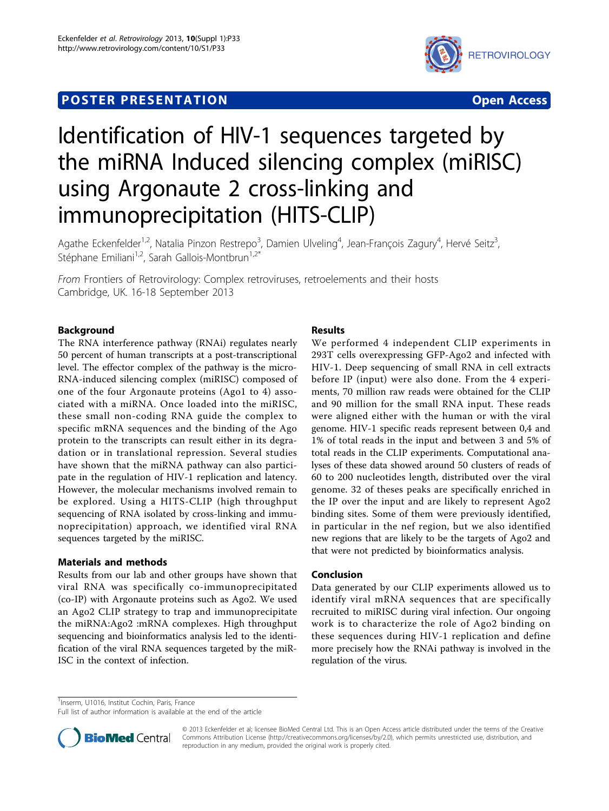## **POSTER PRESENTATION CONSUMING THE SERVICE SERVICE SERVICES**



# Identification of HIV-1 sequences targeted by the miRNA Induced silencing complex (miRISC) using Argonaute 2 cross-linking and immunoprecipitation (HITS-CLIP)

Agathe Eckenfelder<sup>1,2</sup>, Natalia Pinzon Restrepo<sup>3</sup>, Damien Ulveling<sup>4</sup>, Jean-François Zagury<sup>4</sup>, Hervé Seitz<sup>3</sup> , Stéphane Emiliani<sup>1,2</sup>, Sarah Gallois-Montbrun<sup>1,2\*</sup>

From Frontiers of Retrovirology: Complex retroviruses, retroelements and their hosts Cambridge, UK. 16-18 September 2013

### Background

The RNA interference pathway (RNAi) regulates nearly 50 percent of human transcripts at a post-transcriptional level. The effector complex of the pathway is the micro-RNA-induced silencing complex (miRISC) composed of one of the four Argonaute proteins (Ago1 to 4) associated with a miRNA. Once loaded into the miRISC, these small non-coding RNA guide the complex to specific mRNA sequences and the binding of the Ago protein to the transcripts can result either in its degradation or in translational repression. Several studies have shown that the miRNA pathway can also participate in the regulation of HIV-1 replication and latency. However, the molecular mechanisms involved remain to be explored. Using a HITS-CLIP (high throughput sequencing of RNA isolated by cross-linking and immunoprecipitation) approach, we identified viral RNA sequences targeted by the miRISC.

#### Materials and methods

Results from our lab and other groups have shown that viral RNA was specifically co-immunoprecipitated (co-IP) with Argonaute proteins such as Ago2. We used an Ago2 CLIP strategy to trap and immunoprecipitate the miRNA:Ago2 :mRNA complexes. High throughput sequencing and bioinformatics analysis led to the identification of the viral RNA sequences targeted by the miR-ISC in the context of infection.

### Results

We performed 4 independent CLIP experiments in 293T cells overexpressing GFP-Ago2 and infected with HIV-1. Deep sequencing of small RNA in cell extracts before IP (input) were also done. From the 4 experiments, 70 million raw reads were obtained for the CLIP and 90 million for the small RNA input. These reads were aligned either with the human or with the viral genome. HIV-1 specific reads represent between 0,4 and 1% of total reads in the input and between 3 and 5% of total reads in the CLIP experiments. Computational analyses of these data showed around 50 clusters of reads of 60 to 200 nucleotides length, distributed over the viral genome. 32 of theses peaks are specifically enriched in the IP over the input and are likely to represent Ago2 binding sites. Some of them were previously identified, in particular in the nef region, but we also identified new regions that are likely to be the targets of Ago2 and that were not predicted by bioinformatics analysis.

#### Conclusion

Data generated by our CLIP experiments allowed us to identify viral mRNA sequences that are specifically recruited to miRISC during viral infection. Our ongoing work is to characterize the role of Ago2 binding on these sequences during HIV-1 replication and define more precisely how the RNAi pathway is involved in the regulation of the virus.

<sup>1</sup>Inserm, U1016, Institut Cochin, Paris, France

Full list of author information is available at the end of the article



© 2013 Eckenfelder et al; licensee BioMed Central Ltd. This is an Open Access article distributed under the terms of the Creative Commons Attribution License [\(http://creativecommons.org/licenses/by/2.0](http://creativecommons.org/licenses/by/2.0)), which permits unrestricted use, distribution, and reproduction in any medium, provided the original work is properly cited.